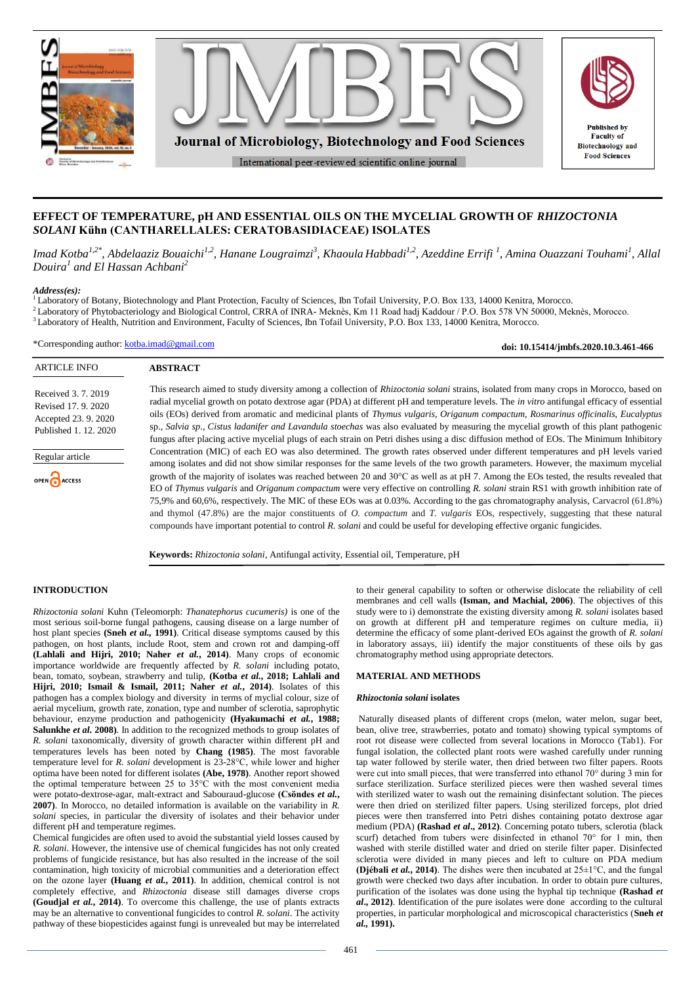

# **EFFECT OF TEMPERATURE, pH AND ESSENTIAL OILS ON THE MYCELIAL GROWTH OF** *RHIZOCTONIA SOLANI* **Kühn (CANTHARELLALES: CERATOBASIDIACEAE) ISOLATES**

Imad Kotba<sup>1,2\*</sup>, Abdelaaziz Bouaichi<sup>1,2</sup>, Hanane Lougraimzi<sup>3</sup>, Khaoula Habbadi<sup>1,2</sup>, Azeddine Errifi <sup>1</sup>, Amina Ouazzani Touhami<sup>1</sup>, Allal *Douira<sup>1</sup> and El Hassan Achbani<sup>2</sup>*

#### *Address(es):*

<sup>1</sup>Laboratory of Botany, Biotechnology and Plant Protection, Faculty of Sciences, Ibn Tofail University, P.O. Box 133, 14000 Kenitra, Morocco.

- <sup>2</sup> Laboratory of Phytobacteriology and Biological Control, CRRA of INRA- Meknès, Km 11 Road hadj Kaddour / P.O. Box 578 VN 50000, Meknès, Morocco.
- <sup>3</sup>Laboratory of Health, Nutrition and Environment, Faculty of Sciences, Ibn Tofail University, P.O. Box 133, 14000 Kenitra, Morocco.

\*Corresponding author: [kotba.imad@gmail.com](mailto:kotba.imad@gmail.com)

ARTICLE INFO **ABSTRACT** This research aimed to study diversity among a collection of *Rhizoctonia solani* strains, isolated from many crops in Morocco, based on Received 3. 7. 2019 radial mycelial growth on potato dextrose agar (PDA) at different pH and temperature levels. The *in vitro* antifungal efficacy of essential Revised 17. 9. 2020 oils (EOs) derived from aromatic and medicinal plants of *Thymus vulgaris, Origanum compactum, Rosmarinus officinalis, Eucalyptus*  Accepted 23. 9. 2020 sp., *Salvia sp*.*, Cistus ladanifer and Lavandula stoechas* was also evaluated by measuring the mycelial growth of this plant pathogenic Published 1. 12. 2020 fungus after placing active mycelial plugs of each strain on Petri dishes using a disc diffusion method of EOs. The Minimum Inhibitory Concentration (MIC) of each EO was also determined. The growth rates observed under different temperatures and pH levels varied Regular article among isolates and did not show similar responses for the same levels of the two growth parameters. However, the maximum mycelial growth of the majority of isolates was reached between 20 and 30°C as well as at pH 7. Among the EOs tested, the results revealed that OPEN ACCESS EO of *Thymus vulgaris* and *Origanum compactum* were very effective on controlling *R. solani* strain RS1 with growth inhibition rate of 75,9% and 60,6%, respectively. The MIC of these EOs was at 0.03%. According to the gas chromatography analysis, Carvacrol (61.8%) and thymol (47.8%) are the major constituents of *O. compactum* and *T. vulgaris* EOs*,* respectively, suggesting that these natural compounds have important potential to control *R. solani* and could be useful for developing effective organic fungicides.

**Keywords:** *Rhizoctonia solani*, Antifungal activity, Essential oil, Temperature, pH

### **INTRODUCTION**

*Rhizoctonia solani* Kuhn (Teleomorph: *Thanatephorus cucumeris)* is one of the most serious soil-borne fungal pathogens, causing disease on a large number of host plant species **(Sneh** *et al.,* **1991)**. Critical disease symptoms caused by this pathogen, on host plants, include Root, stem and crown rot and damping-off **(Lahlali and Hijri, 2010; Naher** *et al.***, 2014)**. Many crops of economic importance worldwide are frequently affected by *R. solani* including potato, bean, tomato, soybean, strawberry and tulip, **(Kotba** *et al.***, 2018; Lahlali and Hijri, 2010; Ismail & Ismail, 2011; Naher** *et al.***, 2014)**. Isolates of this pathogen has a complex biology and diversity in terms of myclial colour, size of aerial mycelium, growth rate, zonation, type and number of sclerotia, saprophytic behaviour, enzyme production and pathogenicity **(Hyakumachi** *et al.***, 1988; Salunkhe** *et al.* **2008)**. In addition to the recognized methods to group isolates of *R. solani* taxonomically, diversity of growth character within different pH and temperatures levels has been noted by **Chang (1985)**. The most favorable temperature level for *R. solani* development is 23-28°C, while lower and higher optima have been noted for different isolates **(Abe, 1978)**. Another report showed the optimal temperature between 25 to 35°C with the most convenient media were potato-dextrose-agar, malt-extract and Sabouraud-glucose **(Csöndes** *et al.***, 2007)**. In Morocco, no detailed information is available on the variability in *R. solani* species, in particular the diversity of isolates and their behavior under different pH and temperature regimes.

Chemical fungicides are often used to avoid the substantial yield losses caused by *R. solani*. However, the intensive use of chemical fungicides has not only created problems of fungicide resistance, but has also resulted in the increase of the soil contamination, high toxicity of microbial communities and a deterioration effect on the ozone layer **(Huang** *et al.***, 2011)**. In addition, chemical control is not completely effective, and *Rhizoctonia* disease still damages diverse crops **(Goudjal** *et al.***, 2014)**. To overcome this challenge, the use of plants extracts may be an alternative to conventional fungicides to control *R. solani*. The activity pathway of these biopesticides against fungi is unrevealed but may be interrelated to their general capability to soften or otherwise dislocate the reliability of cell membranes and cell walls **(Isman, and Machial, 2006)**. The objectives of this study were to i) demonstrate the existing diversity among *R. solani* isolates based on growth at different pH and temperature regimes on culture media, ii) determine the efficacy of some plant-derived EOs against the growth of *R. solani* in laboratory assays, iii) identify the major constituents of these oils by gas chromatography method using appropriate detectors.

**doi: 10.15414/jmbfs.2020.10.3.461-466**

### **MATERIAL AND METHODS**

#### *Rhizoctonia solani* **isolates**

Naturally diseased plants of different crops (melon, water melon, sugar beet, bean, olive tree, strawberries, potato and tomato) showing typical symptoms of root rot disease were collected from several locations in Morocco (Tab1). For fungal isolation, the collected plant roots were washed carefully under running tap water followed by sterile water, then dried between two filter papers. Roots were cut into small pieces, that were transferred into ethanol 70° during 3 min for surface sterilization. Surface sterilized pieces were then washed several times with sterilized water to wash out the remaining disinfectant solution. The pieces were then dried on sterilized filter papers. Using sterilized forceps, plot dried pieces were then transferred into Petri dishes containing potato dextrose agar medium (PDA) **(Rashad** *et al***., 2012)**. Concerning potato tubers, sclerotia (black scurf) detached from tubers were disinfected in ethanol 70° for 1 min, then washed with sterile distilled water and dried on sterile filter paper. Disinfected sclerotia were divided in many pieces and left to culture on PDA medium **(Djébali** *et al.***, 2014**). The dishes were then incubated at  $25 \pm 1^{\circ}$ C, and the fungal growth were checked two days after incubation. In order to obtain pure cultures, purification of the isolates was done using the hyphal tip technique **(Rashad** *et al***., 2012)**. Identification of the pure isolates were done according to the cultural properties, in particular morphological and microscopical characteristics (**Sneh** *et al.,* **1991).**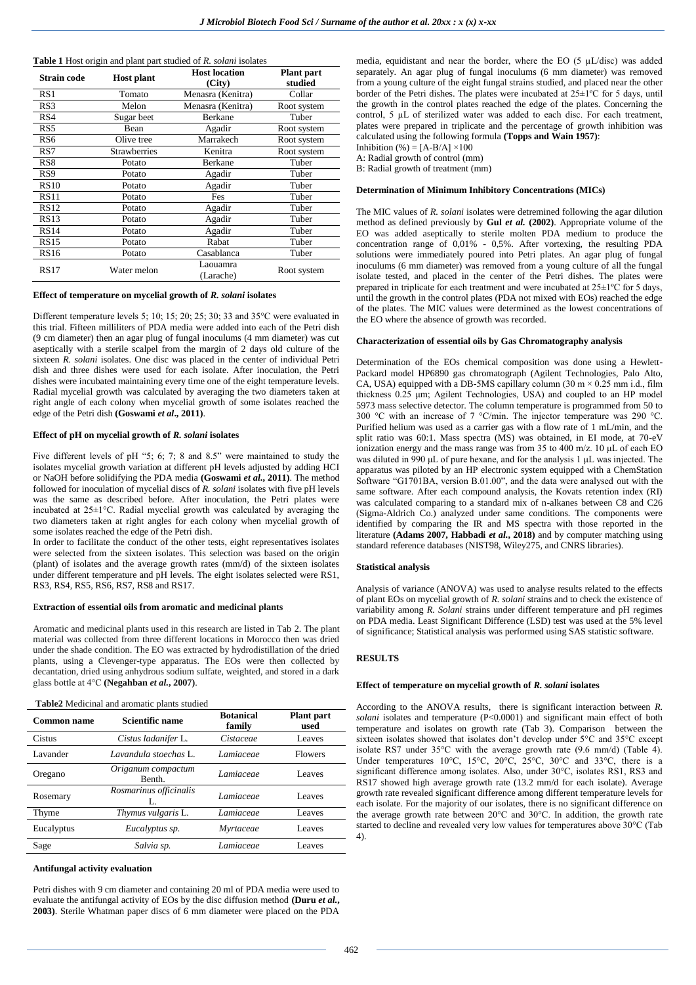| <b>Table 1</b> Host origin and plant part studied of R. solani isolates |  |  |  |  |  |
|-------------------------------------------------------------------------|--|--|--|--|--|
|                                                                         |  |  |  |  |  |

| Strain code     | <b>Host plant</b>   | <b>Host location</b><br>(City) | <b>Plant</b> part<br>studied |
|-----------------|---------------------|--------------------------------|------------------------------|
| RS1             | Tomato              | Menasra (Kenitra)              | Collar                       |
| RS3             | Melon               | Menasra (Kenitra)              | Root system                  |
| RS4             | Sugar beet          | <b>Berkane</b>                 | Tuber                        |
| RS5             | Bean                | Agadir                         | Root system                  |
| RS <sub>6</sub> | Olive tree          | Marrakech                      | Root system                  |
| RS7             | <b>Strawberries</b> | Kenitra                        | Root system                  |
| RS <sub>8</sub> | Potato              | Berkane                        | Tuber                        |
| RS <sub>9</sub> | Potato              | Agadir                         | Tuber                        |
| <b>RS10</b>     | Potato              | Agadir                         | Tuber                        |
| <b>RS11</b>     | Potato              | Fes                            | Tuber                        |
| <b>RS12</b>     | Potato              | Agadir                         | Tuber                        |
| RS13            | Potato              | Agadir                         | Tuber                        |
| RS14            | Potato              | Agadir                         | Tuber                        |
| <b>RS15</b>     | Potato              | Rabat                          | Tuber                        |
| <b>RS16</b>     | Potato              | Casablanca                     | Tuber                        |
| <b>RS17</b>     | Water melon         | Laouamra<br>(Larache)          | Root system                  |

#### **Effect of temperature on mycelial growth of** *R. solani* **isolates**

Different temperature levels 5; 10; 15; 20; 25; 30; 33 and 35°C were evaluated in this trial. Fifteen milliliters of PDA media were added into each of the Petri dish (9 cm diameter) then an agar plug of fungal inoculums (4 mm diameter) was cut aseptically with a sterile scalpel from the margin of 2 days old culture of the sixteen *R. solani* isolates. One disc was placed in the center of individual Petri dish and three dishes were used for each isolate. After inoculation, the Petri dishes were incubated maintaining every time one of the eight temperature levels. Radial mycelial growth was calculated by averaging the two diameters taken at right angle of each colony when mycelial growth of some isolates reached the edge of the Petri dish **(Goswami** *et al***., 2011)**.

#### **Effect of pH on mycelial growth of** *R. solani* **isolates**

Five different levels of pH "5; 6; 7; 8 and 8.5" were maintained to study the isolates mycelial growth variation at different pH levels adjusted by adding HCI or NaOH before solidifying the PDA media **(Goswami** *et al.***, 2011)**. The method followed for inoculation of mycelial discs of *R. solani* isolates with five pH levels was the same as described before. After inoculation, the Petri plates were incubated at 25±1°C. Radial mycelial growth was calculated by averaging the two diameters taken at right angles for each colony when mycelial growth of some isolates reached the edge of the Petri dish.

In order to facilitate the conduct of the other tests, eight representatives isolates were selected from the sixteen isolates. This selection was based on the origin (plant) of isolates and the average growth rates (mm/d) of the sixteen isolates under different temperature and pH levels. The eight isolates selected were RS1, RS3, RS4, RS5, RS6, RS7, RS8 and RS17.

#### E**xtraction of essential oils from aromatic and medicinal plants**

Aromatic and medicinal plants used in this research are listed in Tab 2. The plant material was collected from three different locations in Morocco then was dried under the shade condition. The EO was extracted by hydrodistillation of the dried plants, using a Clevenger-type apparatus. The EOs were then collected by decantation, dried using anhydrous sodium sulfate, weighted, and stored in a dark glass bottle at 4°C **(Negahban** *et al.***, 2007)**.

#### **Table2** Medicinal and aromatic plants studied

| Common name | Scientific name              | <b>Botanical</b><br>family | <b>Plant part</b><br>used |
|-------------|------------------------------|----------------------------|---------------------------|
| Cistus      | Cistus ladanifer L.          | Cistaceae                  | <b>Leaves</b>             |
| Lavander    | Lavandula stoechas L.        | Lamiaceae                  | <b>Flowers</b>            |
| Oregano     | Origanum compactum<br>Benth. | Lamiaceae                  | <b>Leaves</b>             |
| Rosemary    | Rosmarinus officinalis<br>L. | Lamiaceae                  | <b>Leaves</b>             |
| Thyme       | Thymus vulgaris L.           | Lamiaceae                  | Leaves                    |
| Eucalyptus  | Eucalyptus sp.               | Myrtaceae                  | <b>Leaves</b>             |
| Sage        | Salvia sp.                   | Lamiaceae                  | <b>Leaves</b>             |

#### **Antifungal activity evaluation**

Petri dishes with 9 cm diameter and containing 20 ml of PDA media were used to evaluate the antifungal activity of EOs by the disc diffusion method **(Duru** *et al.***, 2003)**. Sterile Whatman paper discs of 6 mm diameter were placed on the PDA media, equidistant and near the border, where the EO (5 µL/disc) was added separately. An agar plug of fungal inoculums (6 mm diameter) was removed from a young culture of the eight fungal strains studied, and placed near the other border of the Petri dishes. The plates were incubated at 25±1ºC for 5 days, until the growth in the control plates reached the edge of the plates. Concerning the control, 5 µL of sterilized water was added to each disc. For each treatment, plates were prepared in triplicate and the percentage of growth inhibition was calculated using the following formula **(Topps and Wain 1957)**:

Inhibition (%) =  $[A-B/A] \times 100$ A: Radial growth of control (mm)

B: Radial growth of treatment (mm)

#### **Determination of Minimum Inhibitory Concentrations (MICs)**

The MIC values of *R. solani* isolates were detremined following the agar dilution method as defined previously by **Gul** *et al.* **(2002)**. Appropriate volume of the EO was added aseptically to sterile molten PDA medium to produce the concentration range of 0,01% - 0,5%. After vortexing, the resulting PDA solutions were immediately poured into Petri plates. An agar plug of fungal inoculums (6 mm diameter) was removed from a young culture of all the fungal isolate tested, and placed in the center of the Petri dishes. The plates were prepared in triplicate for each treatment and were incubated at  $25\pm1^{\circ}\text{C}$  for 5 days, until the growth in the control plates (PDA not mixed with EOs) reached the edge of the plates. The MIC values were determined as the lowest concentrations of the EO where the absence of growth was recorded.

### **Characterization of essential oils by Gas Chromatography analysis**

Determination of the EOs chemical composition was done using a Hewlett-Packard model HP6890 gas chromatograph (Agilent Technologies, Palo Alto, CA, USA) equipped with a DB-5MS capillary column (30 m  $\times$  0.25 mm i.d., film thickness 0.25 μm; Agilent Technologies, USA) and coupled to an HP model 5973 mass selective detector. The column temperature is programmed from 50 to 300 °C with an increase of 7 °C/min. The injector temperature was 290 °C. Purified helium was used as a carrier gas with a flow rate of 1 mL/min, and the split ratio was 60:1. Mass spectra (MS) was obtained, in EI mode, at 70-eV ionization energy and the mass range was from 35 to 400 m/z. 10 μL of each EO was diluted in 990 μL of pure hexane, and for the analysis 1 μL was injected. The apparatus was piloted by an HP electronic system equipped with a ChemStation Software "G1701BA, version B.01.00", and the data were analysed out with the same software. After each compound analysis, the Kovats retention index (RI) was calculated comparing to a standard mix of n-alkanes between C8 and C26 (Sigma-Aldrich Co.) analyzed under same conditions. The components were identified by comparing the IR and MS spectra with those reported in the literature **(Adams 2007, Habbadi** *et al.***, 2018)** and by computer matching using standard reference databases (NIST98, Wiley275, and CNRS libraries).

#### **Statistical analysis**

Analysis of variance (ANOVA) was used to analyse results related to the effects of plant EOs on mycelial growth of *R. solani* strains and to check the existence of variability among *R. Solani* strains under different temperature and pH regimes on PDA media. Least Significant Difference (LSD) test was used at the 5% level of significance; Statistical analysis was performed using SAS statistic software.

### **RESULTS**

#### **Effect of temperature on mycelial growth of** *R. solani* **isolates**

According to the ANOVA results, there is significant interaction between *R. solani* isolates and temperature (P<0.0001) and significant main effect of both temperature and isolates on growth rate (Tab 3). Comparison between the sixteen isolates showed that isolates don't develop under 5°C and 35°C except isolate RS7 under 35°C with the average growth rate (9.6 mm/d) (Table 4). Under temperatures 10°C, 15°C, 20°C, 25°C, 30°C and 33°C, there is a significant difference among isolates. Also, under 30°C, isolates RS1, RS3 and RS17 showed high average growth rate (13.2 mm/d for each isolate). Average growth rate revealed significant difference among different temperature levels for each isolate. For the majority of our isolates, there is no significant difference on the average growth rate between 20°C and 30°C. In addition, the growth rate started to decline and revealed very low values for temperatures above 30°C (Tab 4).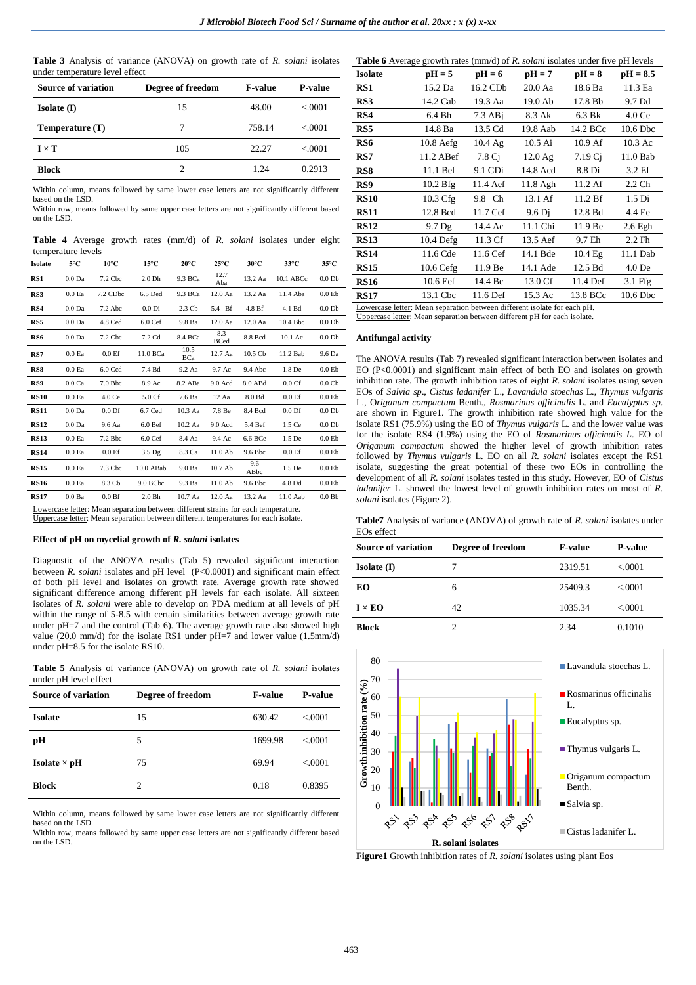**Table 3** Analysis of variance (ANOVA) on growth rate of *R. solani* isolates under temperature level effect

| Source of variation | Degree of freedom | <b>F-value</b> | <b>P-value</b> |
|---------------------|-------------------|----------------|----------------|
| Isolate (I)         | 15                | 48.00          | < 0.0001       |
| Temperature $(T)$   | 7                 | 758.14         | < 0.001        |
| $I \times T$        | 105               | 22.27          | < 0.001        |
| <b>Block</b>        | 2                 | 1.24           | 0.2913         |

Within column, means followed by same lower case letters are not significantly different based on the LSD.

Within row, means followed by same upper case letters are not significantly different based on the LSD.

**Table 4** Average growth rates (mm/d) of *R. solani* isolates under eight temperature levels

| <b>Isolate</b> | 5°C               | $10^{\circ}$ C    | $15^{\circ}$ C                                                                    | $20^{\circ}$ C   | $25^{\circ}$ C     | $30^{\circ}$ C | $33^{\circ}$ C    | $35^{\circ}$ C    |
|----------------|-------------------|-------------------|-----------------------------------------------------------------------------------|------------------|--------------------|----------------|-------------------|-------------------|
| RS1            | 0.0 <sub>Da</sub> | $7.2$ Cbc         | 2.0 <sub>Dh</sub>                                                                 | 9.3 BCa          | 12.7<br>Aba        | 13.2 Aa        | $10.1$ ABC $c$    | 0.0 <sub>Db</sub> |
| RS3            | 0.0 <sub>Ea</sub> | 7.2 CDbc          | $6.5$ Ded                                                                         | 9.3 BCa          | 12.0 Aa            | 13.2 Aa        | 11.4 Aba          | 0.0 <sub>Eb</sub> |
| RS4            | 0.0 <sub>Da</sub> | $7.2$ Abc         | 0.0 <sub>Di</sub>                                                                 | $2.3 \text{ Cb}$ | 5.4 Bf             | 4.8 Bf         | 4.1 Bd            | 0.0 <sub>Db</sub> |
| RS5            | 0.0 <sub>Da</sub> | 4.8 Ced           | 6.0 <sub>CE</sub>                                                                 | 9.8 Ba           | $12.0$ Aa          | 12.0 Aa        | 10.4 Bbc          | 0.0 <sub>Db</sub> |
| RS6            | 0.0 <sub>Da</sub> | 7.2 Cbc           | 7.2 Cd                                                                            | 8.4 BCa          | 8.3<br><b>BCed</b> | 8.8 Bcd        | 10.1 Ac           | 0.0 <sub>Db</sub> |
| RS7            | 0.0 <sub>Ea</sub> | 0.0 <sub>Ef</sub> | 11.0 BCa                                                                          | 10.5<br>BCa      | 12.7 Aa            | 10.5 Cb        | 11.2 Bab          | 9.6 Da            |
| RS8            | 0.0 <sub>Ea</sub> | $6.0$ Ccd         | 7.4 Bd                                                                            | 9.2 Aa           | 9.7 Ac             | 9.4 Abc        | 1.8 De            | 0.0 <sub>Eb</sub> |
| RS9            | 0.0 <sub>Ca</sub> | $7.0$ Bbc         | 8.9 Ac                                                                            | 8.2 ABa          | $9.0$ Acd          | 8.0 ABd        | 0.0 <sub>CF</sub> | 0.0C <sub>b</sub> |
| <b>RS10</b>    | 0.0 <sub>Ea</sub> | 4.0 Ce            | 5.0 Cf                                                                            | 7.6 Ba           | 12 Aa              | 8.0 Bd         | 0.0 <sub>Ef</sub> | 0.0 <sub>Eb</sub> |
| <b>RS11</b>    | 0.0 <sub>Da</sub> | 0.0 <sub>DT</sub> | 6.7 Ced                                                                           | $10.3$ Aa        | 7.8 Be             | 8.4 Bcd        | 0.0 <sub>DF</sub> | 0.0 <sub>Db</sub> |
| <b>RS12</b>    | 0.0 <sub>Da</sub> | 9.6 Aa            | 6.0 <sub>Bef</sub>                                                                | 10.2 Aa          | 9.0 Acd            | 5.4 Bef        | 1.5 Ce            | 0.0 <sub>Db</sub> |
| <b>RS13</b>    | 0.0 Ea            | 7.2 Bbc           | 6.0 <sub>CE</sub>                                                                 | 8.4 Aa           | 9.4 Ac             | 6.6 BCe        | 1.5 De            | 0.0 <sub>Eb</sub> |
| <b>RS14</b>    | 0.0 Ea            | 0.0 <sub>Ef</sub> | 3.5 <sub>Dg</sub>                                                                 | 8.3 Ca           | $11.0$ Ab          | 9.6 Bbc        | 0.0 <sub>Ef</sub> | 0.0 <sub>Eb</sub> |
| <b>RS15</b>    | 0.0 <sub>Ea</sub> | 7.3 Cbc           | 10.0 ABab                                                                         | 9.0 Ba           | 10.7 Ab            | 9.6<br>ABbc    | 1.5 De            | 0.0 <sub>Eb</sub> |
| <b>RS16</b>    | 0.0 <sub>Ea</sub> | 8.3 Cb            | 9.0 BCbc                                                                          | 9.3 Ba           | $11.0$ Ab          | 9.6 Bbc        | 4.8 Dd            | 0.0 <sub>Eb</sub> |
| <b>RS17</b>    | 0.0 <sub>Ba</sub> | 0.0 <sub>Bf</sub> | 2.0 <sub> Bh</sub>                                                                | $10.7$ Aa        | $12.0$ Aa          | 13.2 Aa        | 11.0 Aab          | 0.0 <sub>bb</sub> |
|                |                   |                   | Lowercase letter: Mean separation between different strains for each temperature. |                  |                    |                |                   |                   |

Uppercase letter: Mean separation between different temperatures for each isolate.

### **Effect of pH on mycelial growth of** *R. solani* **isolates**

Diagnostic of the ANOVA results (Tab 5) revealed significant interaction between *R. solani* isolates and pH level (P<0.0001) and significant main effect of both pH level and isolates on growth rate. Average growth rate showed significant difference among different pH levels for each isolate. All sixteen isolates of *R. solani* were able to develop on PDA medium at all levels of pH within the range of 5-8.5 with certain similarities between average growth rate under pH=7 and the control (Tab 6). The average growth rate also showed high value (20.0 mm/d) for the isolate RS1 under pH=7 and lower value (1.5mm/d) under pH=8.5 for the isolate RS10.

**Table 5** Analysis of variance (ANOVA) on growth rate of *R. solani* isolates under pH level effect

| <b>Source of variation</b> | Degree of freedom | <b>F-value</b> | <b>P-value</b> |
|----------------------------|-------------------|----------------|----------------|
| <b>Isolate</b>             | 15                | 630.42         | < 0.001        |
| pН                         | 5                 | 1699.98        | < 0.001        |
| Isolate $\times$ pH        | 75                | 69.94          | < 0.0001       |
| <b>Block</b>               | 2                 | 0.18           | 0.8395         |

Within column, means followed by same lower case letters are not significantly different based on the LSD.

Within row, means followed by same upper case letters are not significantly different based on the LSD.

|                |                                                                          | <b>Table 6</b> Average growth rates (mm/d) of R. solani isolates under five pH levels |          |                    |                   |  |  |  |  |
|----------------|--------------------------------------------------------------------------|---------------------------------------------------------------------------------------|----------|--------------------|-------------------|--|--|--|--|
| <b>Isolate</b> | $pH = 5$                                                                 | $pH = 6$                                                                              | $pH = 7$ | $pH = 8$           | $pH = 8.5$        |  |  |  |  |
| RS1            | 15.2 Da                                                                  | 16.2 CDb                                                                              | 20.0 Aa  | 18.6 Ba            | 11.3 Ea           |  |  |  |  |
| RS3            | 14.2 Cab                                                                 | 19.3 Aa                                                                               | 19.0 Ab  | 17.8 Bb            | 9.7 Dd            |  |  |  |  |
| RS4            | 6.4 Bh                                                                   | $7.3$ AB $i$                                                                          | 8.3 Ak   | 6.3 Bk             | 4.0 Ce            |  |  |  |  |
| RS5            | 14.8 Ba                                                                  | 13.5 Cd                                                                               | 19.8 Aab | 14.2 BCc           | 10.6 Dbc          |  |  |  |  |
| RS6            | $10.8$ Aefg                                                              | $10.4\text{ Ag}$                                                                      | 10.5 Ai  | 10.9 <sub>af</sub> | $10.3 \text{ Ac}$ |  |  |  |  |
| RS7            | 11.2 ABef                                                                | 7.8 Ci                                                                                | 12.0 Ag  | 7.19 Cj            | 11.0 Bab          |  |  |  |  |
| RS8            | 11.1 Bef                                                                 | 9.1 CDi                                                                               | 14.8 Acd | 8.8 Di             | 3.2 Ef            |  |  |  |  |
| RS9            | $10.2 Bfg$                                                               | 11.4 Aef                                                                              | 11.8 Agh | 11.2 Af            | 2.2 Ch            |  |  |  |  |
| <b>RS10</b>    | 10.3 Cfg                                                                 | 9.8 Ch                                                                                | 13.1 Af  | 11.2 <sub>Bf</sub> | 1.5 Di            |  |  |  |  |
| <b>RS11</b>    | 12.8 Bcd                                                                 | 11.7 Cef                                                                              | 9.6 Di   | 12.8 Bd            | 4.4 Ee            |  |  |  |  |
| <b>RS12</b>    | 9.7 <sub>Dg</sub>                                                        | 14.4 Ac                                                                               | 11.1 Chi | 11.9 Be            | $2.6$ Egh         |  |  |  |  |
| <b>RS13</b>    | $10.4$ Defg                                                              | 11.3 Cf                                                                               | 13.5 Aef | 9.7 Eh             | $2.2$ Fh          |  |  |  |  |
| <b>RS14</b>    | 11.6 Cde                                                                 | 11.6 Cef                                                                              | 14.1 Bde | 10.4 <sub>Eq</sub> | 11.1 Dab          |  |  |  |  |
| <b>RS15</b>    | $10.6$ Cefg                                                              | 11.9 Be                                                                               | 14.1 Ade | 12.5 Bd            | 4.0 <sub>De</sub> |  |  |  |  |
| <b>RS16</b>    | 10.6 Eef                                                                 | 14.4 Bc                                                                               | 13.0 Cf  | 11.4 Def           | $3.1$ Ffg         |  |  |  |  |
| <b>RS17</b>    | 13.1 Cbc                                                                 | 11.6 Def                                                                              | 15.3 Ac  | 13.8 BCc           | 10.6 Dbc          |  |  |  |  |
|                | Lowercase letter: Mean separation between different isolate for each pH. |                                                                                       |          |                    |                   |  |  |  |  |

Uppercase letter: Mean separation between different pH for each isolate.

### **Antifungal activity**

The ANOVA results (Tab 7) revealed significant interaction between isolates and EO (P<0.0001) and significant main effect of both EO and isolates on growth inhibition rate. The growth inhibition rates of eight *R. solani* isolates using seven EOs of *Salvia sp*., *Cistus ladanifer* L., *Lavandula stoechas* L., *Thymus vulgaris* L., O*riganum compactum* Benth., *Rosmarinus officinalis* L. and *Eucalyptus sp*. are shown in Figure1. The growth inhibition rate showed high value for the isolate RS1 (75.9%) using the EO of *Thymus vulgaris* L. and the lower value was for the isolate RS4 (1.9%) using the EO of *Rosmarinus officinalis L*. EO of *Origanum compactum* showed the higher level of growth inhibition rates followed by *Thymus vulgaris* L. EO on all *R. solani* isolates except the RS1 isolate, suggesting the great potential of these two EOs in controlling the development of all *R. solani* isolates tested in this study. However, EO of *Cistus ladanifer* L. showed the lowest level of growth inhibition rates on most of *R. solani* isolates (Figure 2).

**Table7** Analysis of variance (ANOVA) of growth rate of *R. solani* isolates under EOs effect

| <b>Source of variation</b> | Degree of freedom | <b>F-value</b> | <b>P-value</b> |
|----------------------------|-------------------|----------------|----------------|
| Isolate (I)                |                   | 2319.51        | < 0.0001       |
| EO                         | 6                 | 25409.3        | < 0001         |
| $I \times E$ O             | 42                | 1035.34        | < 0001         |
| <b>Block</b>               | 2                 | 2.34           | 0.1010         |



**Figure1** Growth inhibition rates of *R. solani* isolates using plant Eos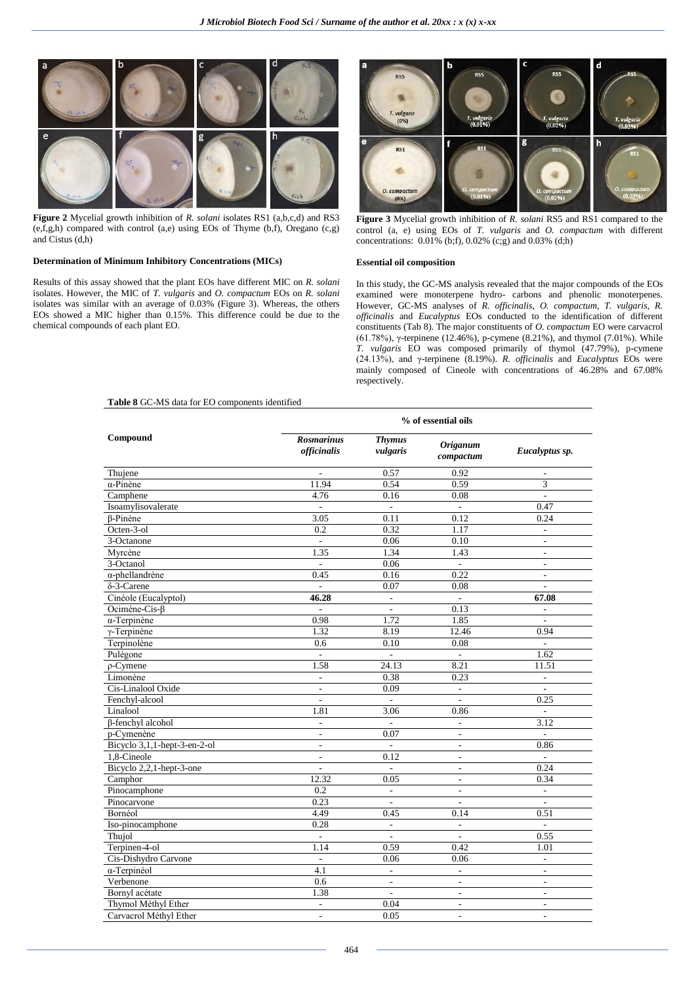

**Figure 2** Mycelial growth inhibition of *R. solani* isolates RS1 (a,b,c,d) and RS3 (e,f,g,h) compared with control (a,e) using EOs of Thyme (b,f), Oregano (c,g) and Cistus (d,h)

## **Determination of Minimum Inhibitory Concentrations (MICs)**

Results of this assay showed that the plant EOs have different MIC on *R. solani*  isolates. However, the MIC of *T. vulgaris* and *O. compactum* EOs on *R. solani*  isolates was similar with an average of 0.03% (Figure 3). Whereas, the others EOs showed a MIC higher than 0.15%. This difference could be due to the chemical compounds of each plant EO.



**Figure 3** Mycelial growth inhibition of *R. solani* RS5 and RS1 compared to the control (a, e) using EOs of *T. vulgaris* and *O. compactum* with different concentrations:  $0.01\%$  (b;f),  $0.02\%$  (c;g) and  $0.03\%$  (d;h)

#### **Essential oil composition**

In this study, the GC-MS analysis revealed that the major compounds of the EOs examined were monoterpene hydro- carbons and phenolic monoterpenes. However, GC-MS analyses of *R. officinalis, O. compactum, T. vulgaris, R. officinalis* and *Eucalyptus* EOs conducted to the identification of different constituents (Tab 8). The major constituents of *O. compactum* EO were carvacrol (61.78%), γ-terpinene (12.46%), p-cymene (8.21%), and thymol (7.01%). While *T. vulgaris* EO was composed primarily of thymol (47.79%), p-cymene (24.13%), and γ-terpinene (8.19%). *R. officinalis* and *Eucalyptus* EOs were mainly composed of Cineole with concentrations of 46.28% and 67.08% respectively.

## **Table 8** GC-MS data for EO components identified

|                              | % of essential oils              |                           |                               |                             |  |  |
|------------------------------|----------------------------------|---------------------------|-------------------------------|-----------------------------|--|--|
| Compound                     | <b>Rosmarinus</b><br>officinalis | <b>Thymus</b><br>vulgaris | <b>Origanum</b><br>compectrum | Eucalyptus sp.              |  |  |
| Thujene                      | $\overline{\phantom{a}}$         | 0.57                      | 0.92                          | $\overline{a}$              |  |  |
| $\alpha$ -Pinène             | 11.94                            | 0.54                      | 0.59                          | 3                           |  |  |
| Camphene                     | 4.76                             | 0.16                      | 0.08                          | $\mathcal{L}^{\mathcal{A}}$ |  |  |
| Isoamylisovalerate           |                                  |                           | $\sim$                        | 0.47                        |  |  |
| $\beta$ -Pinène              | 3.05                             | 0.11                      | 0.12                          | 0.24                        |  |  |
| Octen-3-ol                   | 0.2                              | 0.32                      | 1.17                          | $\mathcal{L}^{\mathcal{A}}$ |  |  |
| 3-Octanone                   | $\overline{\phantom{a}}$         | 0.06                      | 0.10                          | $\overline{\phantom{a}}$    |  |  |
| Myrcène                      | 1.35                             | 1.34                      | 1.43                          | $\sim$                      |  |  |
| 3-Octanol                    | $\overline{a}$                   | 0.06                      | $\mathcal{L}$                 | $\overline{\phantom{a}}$    |  |  |
| α-phellandrène               | 0.45                             | 0.16                      | 0.22                          | $\overline{\phantom{a}}$    |  |  |
| $\delta$ -3-Carene           | $\mathcal{L}$                    | 0.07                      | 0.08                          | $\sim$                      |  |  |
| Cinéole (Eucalyptol)         | 46.28                            | $\overline{a}$            | $\mathcal{L}^{\mathcal{A}}$   | 67.08                       |  |  |
| Ocimène-Cis-β                | $\overline{\phantom{0}}$         | $\frac{1}{2}$             | 0.13                          | $\overline{\phantom{a}}$    |  |  |
| $\alpha$ -Terpinène          | 0.98                             | 1.72                      | 1.85                          | $\sim$                      |  |  |
| $\gamma$ -Terpinène          | 1.32                             | 8.19                      | 12.46                         | 0.94                        |  |  |
| Terpinolène                  | 0.6                              | 0.10                      | 0.08                          | $\sim$                      |  |  |
| Pulégone                     | $\mathbb{L}$                     | $\mathbb{L}$              | $\mathcal{L}^{\mathcal{A}}$   | 1.62                        |  |  |
| $\rho$ -Cymene               | 1.58                             | 24.13                     | 8.21                          | 11.51                       |  |  |
| Limonène                     | $\overline{\phantom{a}}$         | 0.38                      | 0.23                          | $\overline{\phantom{a}}$    |  |  |
| Cis-Linalool Oxide           | $\overline{\phantom{a}}$         | 0.09                      | $\mathcal{L}^{\mathcal{L}}$   | $\mathbf{r}$                |  |  |
| Fenchyl-alcool               | $\overline{\phantom{a}}$         | $\overline{a}$            | L.                            | 0.25                        |  |  |
| Linalool                     | 1.81                             | 3.06                      | 0.86                          | $\overline{\phantom{a}}$    |  |  |
| β-fenchyl alcohol            | $\overline{\phantom{a}}$         | $\overline{a}$            | ÷.                            | 3.12                        |  |  |
| p-Cymenène                   | $\overline{a}$                   | 0.07                      | ÷,                            |                             |  |  |
| Bicyclo 3,1,1-hept-3-en-2-ol | $\overline{\phantom{a}}$         | $\overline{a}$            | $\overline{\phantom{a}}$      | 0.86                        |  |  |
| 1,8-Cineole                  | $\overline{\phantom{a}}$         | 0.12                      | $\overline{\phantom{a}}$      |                             |  |  |
| Bicyclo 2,2,1-hept-3-one     | $\overline{a}$                   | $\overline{\phantom{a}}$  | ÷,                            | 0.24                        |  |  |
| Camphor                      | 12.32                            | 0.05                      | $\overline{\phantom{a}}$      | 0.34                        |  |  |
| Pinocamphone                 | 0.2                              | $\overline{\phantom{a}}$  | $\overline{\phantom{a}}$      | $\overline{\phantom{a}}$    |  |  |
| Pinocarvone                  | 0.23                             |                           | ÷,                            |                             |  |  |
| Bornéol                      | 4.49                             | 0.45                      | 0.14                          | 0.51                        |  |  |
| Iso-pinocamphone             | 0.28                             | ÷,                        | $\overline{\phantom{a}}$      | $\overline{\phantom{a}}$    |  |  |
| Thujol                       | $\Box$                           | $\overline{a}$            | $\overline{\phantom{a}}$      | 0.55                        |  |  |
| Terpinen-4-ol                | 1.14                             | 0.59                      | 0.42                          | 1.01                        |  |  |
| Cis-Dishydro Carvone         | $\Box$                           | 0.06                      | 0.06                          | $\overline{\phantom{a}}$    |  |  |
| α-Terpinéol                  | 4.1                              | $\overline{a}$            | $\overline{\phantom{a}}$      | $\overline{\phantom{a}}$    |  |  |
| Verbenone                    | 0.6                              | $\overline{a}$            | $\overline{a}$                | $\overline{a}$              |  |  |
| Bornyl acétate               | 1.38                             | $\overline{\phantom{a}}$  | $\overline{\phantom{a}}$      | $\overline{\phantom{a}}$    |  |  |
| Thymol Méthyl Ether          | $\overline{\phantom{a}}$         | 0.04                      | $\overline{\phantom{a}}$      | $\sim$                      |  |  |
| Carvacrol Méthyl Ether       | $\overline{\phantom{a}}$         | 0.05                      | $\overline{a}$                | ÷                           |  |  |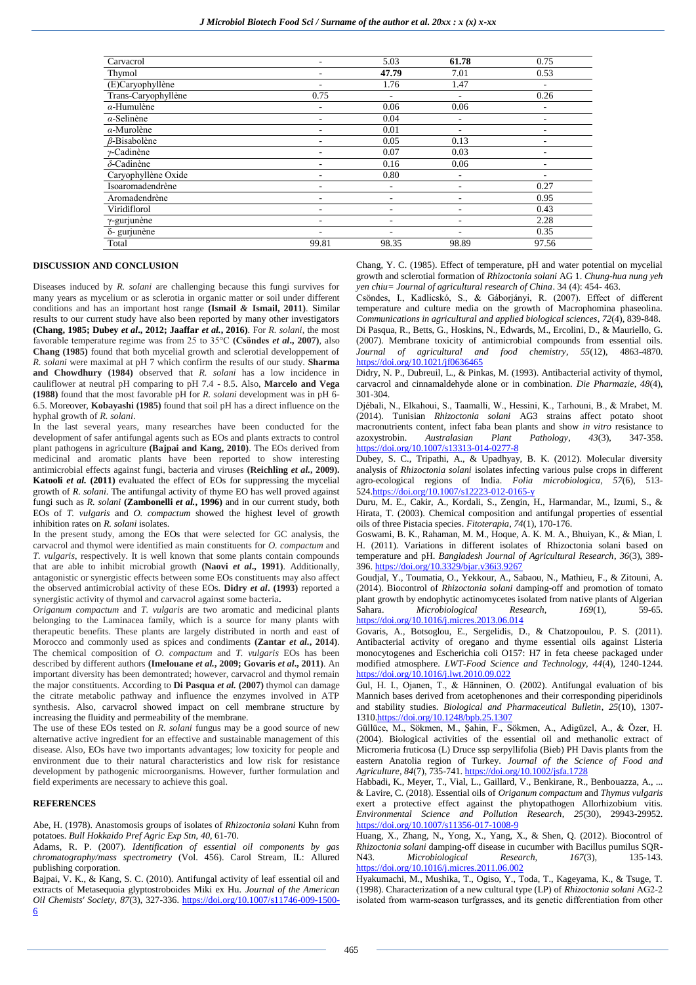| Carvacrol           |                          | 5.03  | 61.78                    | 0.75  |
|---------------------|--------------------------|-------|--------------------------|-------|
| Thymol              | $\overline{\phantom{a}}$ | 47.79 | 7.01                     | 0.53  |
| (E)Caryophyllène    | $\overline{\phantom{a}}$ | 1.76  | 1.47                     |       |
| Trans-Caryophyllène | 0.75                     | Ξ.    | $\overline{\phantom{a}}$ | 0.26  |
| $\alpha$ -Humulène  | $\overline{\phantom{a}}$ | 0.06  | 0.06                     | -     |
| $\alpha$ -Selinène  | $\overline{\phantom{a}}$ | 0.04  | $\overline{\phantom{a}}$ |       |
| $\alpha$ -Murolène  |                          | 0.01  | ۰                        |       |
| $\beta$ -Bisabolène |                          | 0.05  | 0.13                     |       |
| $\nu$ -Cadinène     |                          | 0.07  | 0.03                     |       |
| $\delta$ -Cadinène  | $\overline{\phantom{a}}$ | 0.16  | 0.06                     | -     |
| Caryophyllène Oxide | $\overline{\phantom{a}}$ | 0.80  | $\overline{\phantom{a}}$ | -     |
| Isoaromadendrène    | $\overline{\phantom{a}}$ | Ξ.    | ٠                        | 0.27  |
| Aromadendrène       | $\overline{\phantom{a}}$ | ۰     | ٠                        | 0.95  |
| Viridiflorol        |                          |       | ۰                        | 0.43  |
| $\gamma$ -gurjunène |                          |       | ۰                        | 2.28  |
| δ- gurjunène        |                          | -     | ۰                        | 0.35  |
| Total               | 99.81                    | 98.35 | 98.89                    | 97.56 |
|                     |                          |       |                          |       |

#### **DISCUSSION AND CONCLUSION**

Diseases induced by *R. solani* are challenging because this fungi survives for many years as mycelium or as sclerotia in organic matter or soil under different conditions and has an important host range **(Ismail** *&* **Ismail, 2011)**. Similar results to our current study have also been reported by many other investigators **(Chang, 1985; Dubey** *et al***., 2012; Jaaffar** *et al.***, 2016)**. For *R. solani*, the most favorable temperature regime was from 25 to 35°C **(Csöndes** *et al***., 2007)**, also **Chang (1985)** found that both mycelial growth and sclerotial developpement of *R. solani* were maximal at pH 7 which confirm the results of our study. **Sharma and Chowdhury (1984)** observed that *R. solani* has a low incidence in cauliflower at neutral pH comparing to pH 7.4 - 8.5. Also, **Marcelo and Vega (1988)** found that the most favorable pH for *R. solani* development was in pH 6- 6.5. Moreover, **Kobayashi (1985)** found that soil pH has a direct influence on the hyphal growth of *R. solani*.

In the last several years, many researches have been conducted for the development of safer antifungal agents such as EOs and plants extracts to control plant pathogens in agriculture **(Bajpai and Kang, 2010)**. The EOs derived from medicinal and aromatic plants have been reported to show interesting antimicrobial effects against fungi, bacteria and viruses **(Reichling** *et al.***, 2009). Katooli** *et al.* (2011) evaluated the effect of EOs for suppressing the mycelial growth of *R. solani*. The antifungal activity of thyme EO has well proved against fungi such as *R. solani* **(Zambonelli** *et al.***, 1996)** and in our current study, both EOs of *T. vulgaris* and *O. compactum* showed the highest level of growth inhibition rates on *R. solani* isolates.

In the present study, among the EOs that were selected for GC analysis, the carvacrol and thymol were identified as main constituents for *O. compactum* and *T. vulgaris*, respectively. It is well known that some plants contain compounds that are able to inhibit microbial growth **(Naovi** *et al***., 1991)**. Additionally, antagonistic or synergistic effects between some EOs constituents may also affect the observed antimicrobial activity of these EOs. **Didry** *et al***. (1993)** reported a synergistic activity of thymol and carvacrol against some bacteria**.**

*Origanum compactum* and *T. vulgaris* are two aromatic and medicinal plants belonging to the Laminacea family, which is a source for many plants with therapeutic benefits. These plants are largely distributed in north and east of Morocco and commonly used as spices and condiments **(Zantar** *et al.***, 2014)**. The chemical composition of *O. compactum* and *T. vulgaris* EOs has been described by different authors **(Imelouane** *et al.***, 2009; Govaris** *et al***., 2011)**. An important diversity has been demontrated; however, carvacrol and thymol remain the major constituents. According to **Di Pasqua** *et al.* **(2007)** thymol can damage the citrate metabolic pathway and influence the enzymes involved in ATP synthesis. Also, carvacrol showed impact on cell membrane structure by increasing the fluidity and permeability of the membrane.

The use of these EOs tested on *R. solani* fungus may be a good source of new alternative active ingredient for an effective and sustainable management of this disease. Also, EOs have two importants advantages; low toxicity for people and environment due to their natural characteristics and low risk for resistance development by pathogenic microorganisms. However, further formulation and field experiments are necessary to achieve this goal.

### **REFERENCES**

Abe, H. (1978). Anastomosis groups of isolates of *Rhizoctonia solani* Kuhn from potatoes. *Bull Hokkaido Pref Agric Exp Stn*, *40*, 61-70.

Adams, R. P. (2007). *Identification of essential oil components by gas chromatography/mass spectrometry* (Vol. 456). Carol Stream, IL: Allured publishing corporation.

Bajpai, V. K., & Kang, S. C. (2010). Antifungal activity of leaf essential oil and extracts of Metasequoia glyptostroboides Miki ex Hu. *Journal of the American Oil Chemists' Society*, *87*(3), 327-336. [https://doi.org/10.1007/s11746-009-1500-](https://doi.org/10.1007/s11746-009-1500-6) [6](https://doi.org/10.1007/s11746-009-1500-6)

Chang, Y. C. (1985). Effect of temperature, pH and water potential on mycelial growth and sclerotial formation of *Rhizoctonia solani* AG 1. *Chung-hua nung yeh yen chiu= Journal of agricultural research of China*. 34 (4): 454- 463.

Csöndes, I., Kadlicskó, S., & Gáborjányi, R. (2007). Effect of different temperature and culture media on the growth of Macrophomina phaseolina. *Communications in agricultural and applied biological sciences*, *72*(4), 839-848. Di Pasqua, R., Betts, G., Hoskins, N., Edwards, M., Ercolini, D., & Mauriello, G. (2007). Membrane toxicity of antimicrobial compounds from essential oils. *Journal of agricultural and food chemistry*, *55*(12), 4863-4870. <https://doi.org/10.1021/jf0636465>

Didry, N. P., Dubreuil, L., & Pinkas, M. (1993). Antibacterial activity of thymol, carvacrol and cinnamaldehyde alone or in combination. *Die Pharmazie*, *48*(4), 301-304.

Djébali, N., Elkahoui, S., Taamalli, W., Hessini, K., Tarhouni, B., & Mrabet, M. (2014). Tunisian *Rhizoctonia solani* AG3 strains affect potato shoot macronutrients content, infect faba bean plants and show *in vitro* resistance to azoxystrobin. *Australasian Plant Pathology*, *43*(3), 347-358. <https://doi.org/10.1007/s13313-014-0277-8>

Dubey, S. C., Tripathi, A., & Upadhyay, B. K. (2012). Molecular diversity analysis of *Rhizoctonia solani* isolates infecting various pulse crops in different agro-ecological regions of India. *Folia microbiologica*, *57*(6), 513- 52[4.https://doi.org/10.1007/s12223-012-0165-y](https://doi.org/10.1007/s12223-012-0165-y)

Duru, M. E., Cakir, A., Kordali, S., Zengin, H., Harmandar, M., Izumi, S., & Hirata, T. (2003). Chemical composition and antifungal properties of essential oils of three Pistacia species. *Fitoterapia*, *74*(1), 170-176.

Goswami, B. K., Rahaman, M. M., Hoque, A. K. M. A., Bhuiyan, K., & Mian, I. H. (2011). Variations in different isolates of Rhizoctonia solani based on temperature and pH. *Bangladesh Journal of Agricultural Research*, *36*(3), 389- 396[. https://doi.org/10.3329/bjar.v36i3.9267](https://doi.org/10.3329/bjar.v36i3.9267)

Goudjal, Y., Toumatia, O., Yekkour, A., Sabaou, N., Mathieu, F., & Zitouni, A. (2014). Biocontrol of *Rhizoctonia solani* damping-off and promotion of tomato plant growth by endophytic actinomycetes isolated from native plants of Algerian Sahara. *Microbiological Research*, *169*(1), 59-65. <https://doi.org/10.1016/j.micres.2013.06.014>

Govaris, A., Botsoglou, E., Sergelidis, D., & Chatzopoulou, P. S. (2011). Antibacterial activity of oregano and thyme essential oils against Listeria monocytogenes and Escherichia coli O157: H7 in feta cheese packaged under modified atmosphere. *LWT-Food Science and Technology*, *44*(4), 1240-1244. <https://doi.org/10.1016/j.lwt.2010.09.022>

Gul, H. I., Ojanen, T., & Hänninen, O. (2002). Antifungal evaluation of bis Mannich bases derived from acetophenones and their corresponding piperidinols and stability studies. *Biological and Pharmaceutical Bulletin*, *25*(10), 1307- 131[0.https://doi.org/10.1248/bpb.25.1307](https://doi.org/10.1248/bpb.25.1307)

Güllüce, M., Sökmen, M., Şahin, F., Sökmen, A., Adigüzel, A., & Özer, H. (2004). Biological activities of the essential oil and methanolic extract of Micromeria fruticosa (L) Druce ssp serpyllifolia (Bieb) PH Davis plants from the eastern Anatolia region of Turkey. *Journal of the Science of Food and Agriculture*, *84*(7), 735-741[. https://doi.org/10.1002/jsfa.1728](https://doi.org/10.1002/jsfa.1728)

Habbadi, K., Meyer, T., Vial, L., Gaillard, V., Benkirane, R., Benbouazza, A., ... & Lavire, C. (2018). Essential oils of *Origanum compactum* and *Thymus vulgaris* exert a protective effect against the phytopathogen Allorhizobium vitis. *Environmental Science and Pollution Research*, *25*(30), 29943-29952. <https://doi.org/10.1007/s11356-017-1008-9>

Huang, X., Zhang, N., Yong, X., Yang, X., & Shen, Q. (2012). Biocontrol of *Rhizoctonia solani* damping-off disease in cucumber with Bacillus pumilus SQR-N43. *Microbiological Research*, *167*(3), 135-143. <https://doi.org/10.1016/j.micres.2011.06.002>

Hyakumachi, M., Mushika, T., Ogiso, Y., Toda, T., Kageyama, K., & Tsuge, T. (1998). Characterization of a new cultural type (LP) of *Rhizoctonia solani* AG2‐2 isolated from warm‐season turfgrasses, and its genetic differentiation from other